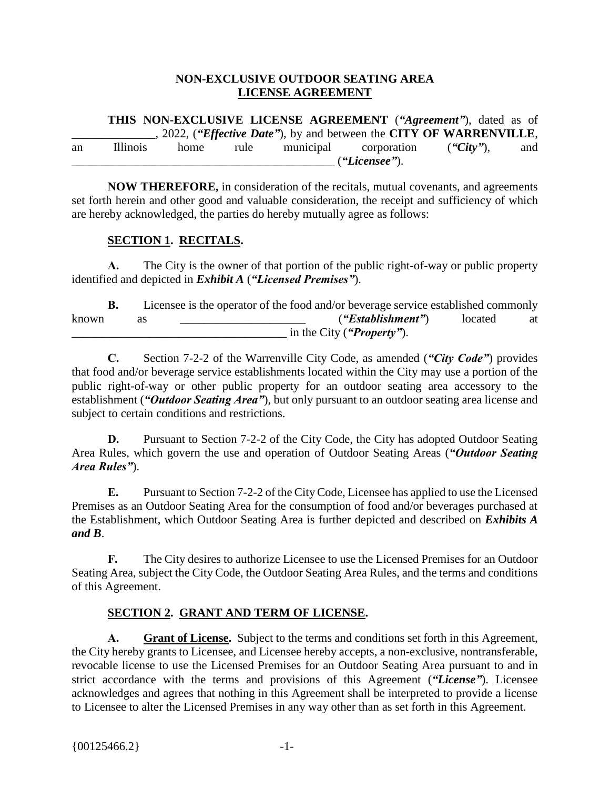#### **NON-EXCLUSIVE OUTDOOR SEATING AREA LICENSE AGREEMENT**

**THIS NON-EXCLUSIVE LICENSE AGREEMENT** (*"Agreement"*), dated as of \_\_\_\_\_\_\_\_\_\_\_\_\_\_, 2022, (*"Effective Date"*), by and between the **CITY OF WARRENVILLE**, an Illinois home rule municipal corporation (*"City"*), and \_\_\_\_\_\_\_\_\_\_\_\_\_\_\_\_\_\_\_\_\_\_\_\_\_\_\_\_\_\_\_\_\_\_\_\_\_\_\_\_\_\_\_\_ (*"Licensee"*).

**NOW THEREFORE,** in consideration of the recitals, mutual covenants, and agreements set forth herein and other good and valuable consideration, the receipt and sufficiency of which are hereby acknowledged, the parties do hereby mutually agree as follows:

#### **SECTION 1. RECITALS.**

**A.** The City is the owner of that portion of the public right-of-way or public property identified and depicted in *Exhibit A* (*"Licensed Premises"*).

**B.** Licensee is the operator of the food and/or beverage service established commonly known as  $(^{\prime\prime}Establishment")$  located at in the City (*"Property"*).

**C.** Section 7-2-2 of the Warrenville City Code, as amended (*"City Code"*) provides that food and/or beverage service establishments located within the City may use a portion of the public right-of-way or other public property for an outdoor seating area accessory to the establishment (*"Outdoor Seating Area"*), but only pursuant to an outdoor seating area license and subject to certain conditions and restrictions.

**D.** Pursuant to Section 7-2-2 of the City Code, the City has adopted Outdoor Seating Area Rules, which govern the use and operation of Outdoor Seating Areas (*"Outdoor Seating Area Rules"*).

**E.** Pursuant to Section 7-2-2 of the City Code, Licensee has applied to use the Licensed Premises as an Outdoor Seating Area for the consumption of food and/or beverages purchased at the Establishment, which Outdoor Seating Area is further depicted and described on *Exhibits A and B*.

**F.** The City desires to authorize Licensee to use the Licensed Premises for an Outdoor Seating Area, subject the City Code, the Outdoor Seating Area Rules, and the terms and conditions of this Agreement.

#### **SECTION 2. GRANT AND TERM OF LICENSE.**

**A. Grant of License.** Subject to the terms and conditions set forth in this Agreement, the City hereby grants to Licensee, and Licensee hereby accepts, a non-exclusive, nontransferable, revocable license to use the Licensed Premises for an Outdoor Seating Area pursuant to and in strict accordance with the terms and provisions of this Agreement (*"License"*). Licensee acknowledges and agrees that nothing in this Agreement shall be interpreted to provide a license to Licensee to alter the Licensed Premises in any way other than as set forth in this Agreement.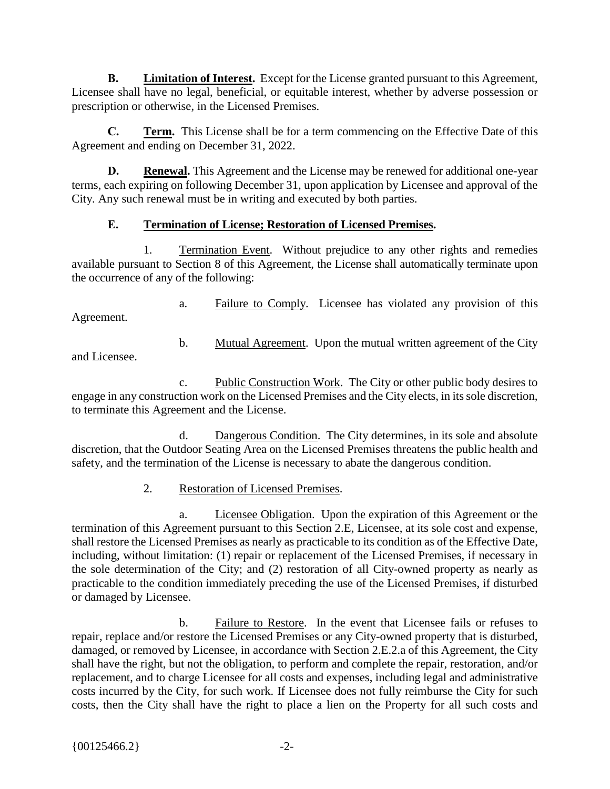**B. Limitation of Interest.** Except for the License granted pursuant to this Agreement, Licensee shall have no legal, beneficial, or equitable interest, whether by adverse possession or prescription or otherwise, in the Licensed Premises.

**C. Term.** This License shall be for a term commencing on the Effective Date of this Agreement and ending on December 31, 2022.

**D. Renewal.** This Agreement and the License may be renewed for additional one-year terms, each expiring on following December 31, upon application by Licensee and approval of the City. Any such renewal must be in writing and executed by both parties.

## **E. Termination of License; Restoration of Licensed Premises.**

Termination Event. Without prejudice to any other rights and remedies available pursuant to Section 8 of this Agreement, the License shall automatically terminate upon the occurrence of any of the following:

a. Failure to Comply.Licensee has violated any provision of this

Agreement.

b. Mutual Agreement.Upon the mutual written agreement of the City

and Licensee.

c. Public Construction Work. The City or other public body desires to engage in any construction work on the Licensed Premises and the City elects, in its sole discretion, to terminate this Agreement and the License.

d. Dangerous Condition. The City determines, in its sole and absolute discretion, that the Outdoor Seating Area on the Licensed Premises threatens the public health and safety, and the termination of the License is necessary to abate the dangerous condition.

2. Restoration of Licensed Premises.

a. Licensee Obligation. Upon the expiration of this Agreement or the termination of this Agreement pursuant to this Section 2.E, Licensee, at its sole cost and expense, shall restore the Licensed Premises as nearly as practicable to its condition as of the Effective Date, including, without limitation: (1) repair or replacement of the Licensed Premises, if necessary in the sole determination of the City; and (2) restoration of all City-owned property as nearly as practicable to the condition immediately preceding the use of the Licensed Premises, if disturbed or damaged by Licensee.

b. Failure to Restore. In the event that Licensee fails or refuses to repair, replace and/or restore the Licensed Premises or any City-owned property that is disturbed, damaged, or removed by Licensee, in accordance with Section 2.E.2.a of this Agreement, the City shall have the right, but not the obligation, to perform and complete the repair, restoration, and/or replacement, and to charge Licensee for all costs and expenses, including legal and administrative costs incurred by the City, for such work. If Licensee does not fully reimburse the City for such costs, then the City shall have the right to place a lien on the Property for all such costs and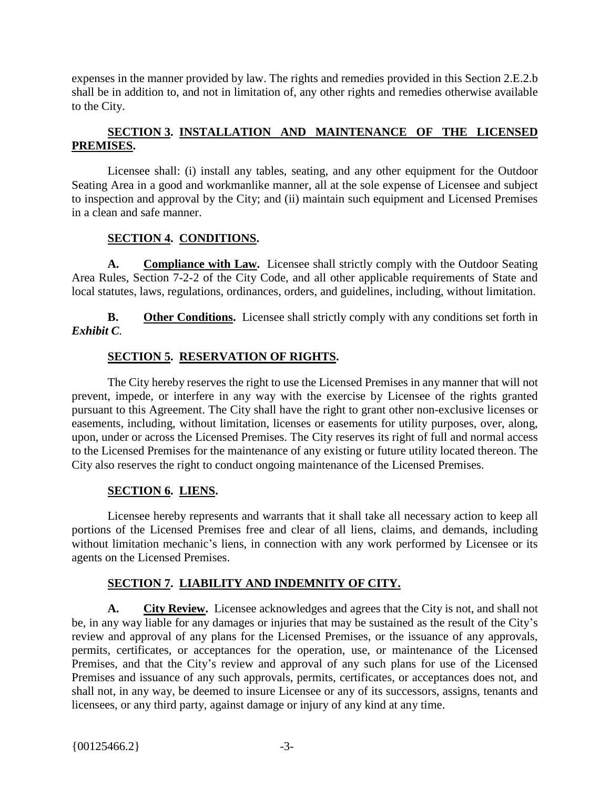expenses in the manner provided by law. The rights and remedies provided in this Section 2.E.2.b shall be in addition to, and not in limitation of, any other rights and remedies otherwise available to the City.

### **SECTION 3. INSTALLATION AND MAINTENANCE OF THE LICENSED PREMISES.**

Licensee shall: (i) install any tables, seating, and any other equipment for the Outdoor Seating Area in a good and workmanlike manner, all at the sole expense of Licensee and subject to inspection and approval by the City; and (ii) maintain such equipment and Licensed Premises in a clean and safe manner.

### **SECTION 4. CONDITIONS.**

**A. Compliance with Law.** Licensee shall strictly comply with the Outdoor Seating Area Rules, Section 7-2-2 of the City Code, and all other applicable requirements of State and local statutes, laws, regulations, ordinances, orders, and guidelines, including, without limitation.

**B. Other Conditions.** Licensee shall strictly comply with any conditions set forth in *Exhibit C.*

## **SECTION 5. RESERVATION OF RIGHTS.**

The City hereby reserves the right to use the Licensed Premises in any manner that will not prevent, impede, or interfere in any way with the exercise by Licensee of the rights granted pursuant to this Agreement. The City shall have the right to grant other non-exclusive licenses or easements, including, without limitation, licenses or easements for utility purposes, over, along, upon, under or across the Licensed Premises. The City reserves its right of full and normal access to the Licensed Premises for the maintenance of any existing or future utility located thereon. The City also reserves the right to conduct ongoing maintenance of the Licensed Premises.

### **SECTION 6. LIENS.**

Licensee hereby represents and warrants that it shall take all necessary action to keep all portions of the Licensed Premises free and clear of all liens, claims, and demands, including without limitation mechanic's liens, in connection with any work performed by Licensee or its agents on the Licensed Premises.

## **SECTION 7. LIABILITY AND INDEMNITY OF CITY.**

**A. City Review.** Licensee acknowledges and agrees that the City is not, and shall not be, in any way liable for any damages or injuries that may be sustained as the result of the City's review and approval of any plans for the Licensed Premises, or the issuance of any approvals, permits, certificates, or acceptances for the operation, use, or maintenance of the Licensed Premises, and that the City's review and approval of any such plans for use of the Licensed Premises and issuance of any such approvals, permits, certificates, or acceptances does not, and shall not, in any way, be deemed to insure Licensee or any of its successors, assigns, tenants and licensees, or any third party, against damage or injury of any kind at any time.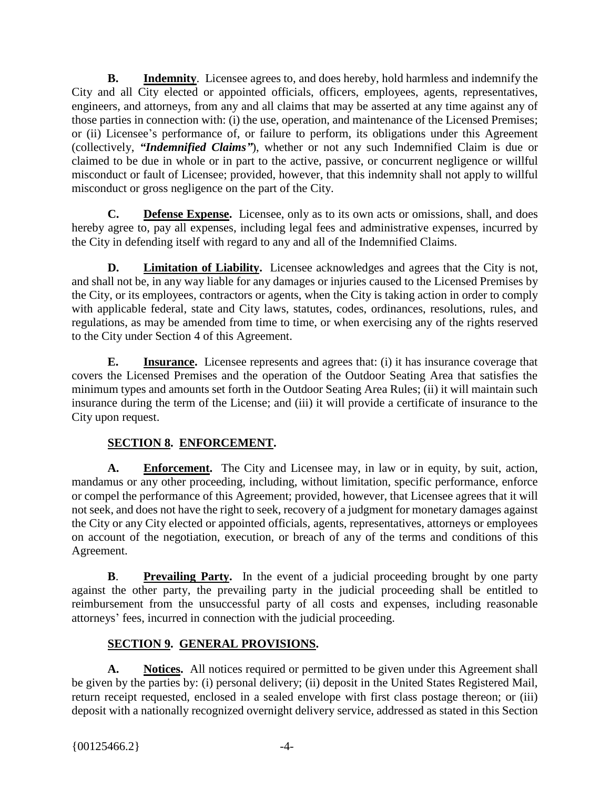**B. Indemnity**. Licensee agrees to, and does hereby, hold harmless and indemnify the City and all City elected or appointed officials, officers, employees, agents, representatives, engineers, and attorneys, from any and all claims that may be asserted at any time against any of those parties in connection with: (i) the use, operation, and maintenance of the Licensed Premises; or (ii) Licensee's performance of, or failure to perform, its obligations under this Agreement (collectively, *"Indemnified Claims"*), whether or not any such Indemnified Claim is due or claimed to be due in whole or in part to the active, passive, or concurrent negligence or willful misconduct or fault of Licensee; provided, however, that this indemnity shall not apply to willful misconduct or gross negligence on the part of the City.

**C. Defense Expense.** Licensee, only as to its own acts or omissions, shall, and does hereby agree to, pay all expenses, including legal fees and administrative expenses, incurred by the City in defending itself with regard to any and all of the Indemnified Claims.

**D. Limitation of Liability.** Licensee acknowledges and agrees that the City is not, and shall not be, in any way liable for any damages or injuries caused to the Licensed Premises by the City, or its employees, contractors or agents, when the City is taking action in order to comply with applicable federal, state and City laws, statutes, codes, ordinances, resolutions, rules, and regulations, as may be amended from time to time, or when exercising any of the rights reserved to the City under Section 4 of this Agreement.

**E. Insurance.** Licensee represents and agrees that: (i) it has insurance coverage that covers the Licensed Premises and the operation of the Outdoor Seating Area that satisfies the minimum types and amounts set forth in the Outdoor Seating Area Rules; (ii) it will maintain such insurance during the term of the License; and (iii) it will provide a certificate of insurance to the City upon request.

## **SECTION 8. ENFORCEMENT.**

**A. Enforcement.** The City and Licensee may, in law or in equity, by suit, action, mandamus or any other proceeding, including, without limitation, specific performance, enforce or compel the performance of this Agreement; provided, however, that Licensee agrees that it will not seek, and does not have the right to seek, recovery of a judgment for monetary damages against the City or any City elected or appointed officials, agents, representatives, attorneys or employees on account of the negotiation, execution, or breach of any of the terms and conditions of this Agreement.

**B. Prevailing Party.** In the event of a judicial proceeding brought by one party against the other party, the prevailing party in the judicial proceeding shall be entitled to reimbursement from the unsuccessful party of all costs and expenses, including reasonable attorneys' fees, incurred in connection with the judicial proceeding.

## **SECTION 9. GENERAL PROVISIONS.**

**A. Notices.** All notices required or permitted to be given under this Agreement shall be given by the parties by: (i) personal delivery; (ii) deposit in the United States Registered Mail, return receipt requested, enclosed in a sealed envelope with first class postage thereon; or (iii) deposit with a nationally recognized overnight delivery service, addressed as stated in this Section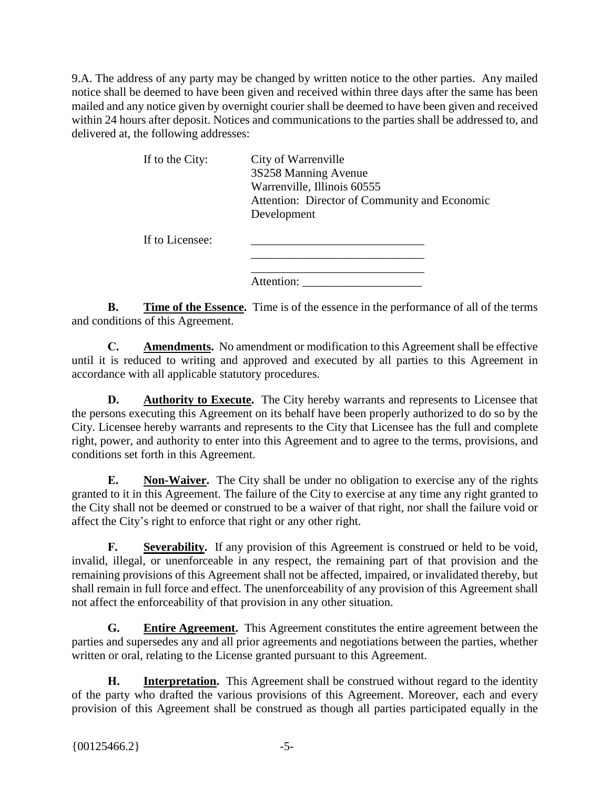9.A. The address of any party may be changed by written notice to the other parties. Any mailed notice shall be deemed to have been given and received within three days after the same has been mailed and any notice given by overnight courier shall be deemed to have been given and received within 24 hours after deposit. Notices and communications to the parties shall be addressed to, and delivered at, the following addresses:

| If to the City: | City of Warrenville<br>3S258 Manning Avenue<br>Warrenville, Illinois 60555<br>Attention: Director of Community and Economic<br>Development |
|-----------------|--------------------------------------------------------------------------------------------------------------------------------------------|
| If to Licensee: |                                                                                                                                            |
|                 | Attention:                                                                                                                                 |

**B. Time of the Essence.** Time is of the essence in the performance of all of the terms and conditions of this Agreement.

**C. Amendments.** No amendment or modification to this Agreement shall be effective until it is reduced to writing and approved and executed by all parties to this Agreement in accordance with all applicable statutory procedures.

**D. Authority to Execute.** The City hereby warrants and represents to Licensee that the persons executing this Agreement on its behalf have been properly authorized to do so by the City. Licensee hereby warrants and represents to the City that Licensee has the full and complete right, power, and authority to enter into this Agreement and to agree to the terms, provisions, and conditions set forth in this Agreement.

**E. Non-Waiver.** The City shall be under no obligation to exercise any of the rights granted to it in this Agreement. The failure of the City to exercise at any time any right granted to the City shall not be deemed or construed to be a waiver of that right, nor shall the failure void or affect the City's right to enforce that right or any other right.

**F. Severability.** If any provision of this Agreement is construed or held to be void, invalid, illegal, or unenforceable in any respect, the remaining part of that provision and the remaining provisions of this Agreement shall not be affected, impaired, or invalidated thereby, but shall remain in full force and effect. The unenforceability of any provision of this Agreement shall not affect the enforceability of that provision in any other situation.

**G. Entire Agreement.** This Agreement constitutes the entire agreement between the parties and supersedes any and all prior agreements and negotiations between the parties, whether written or oral, relating to the License granted pursuant to this Agreement.

**H. Interpretation.** This Agreement shall be construed without regard to the identity of the party who drafted the various provisions of this Agreement. Moreover, each and every provision of this Agreement shall be construed as though all parties participated equally in the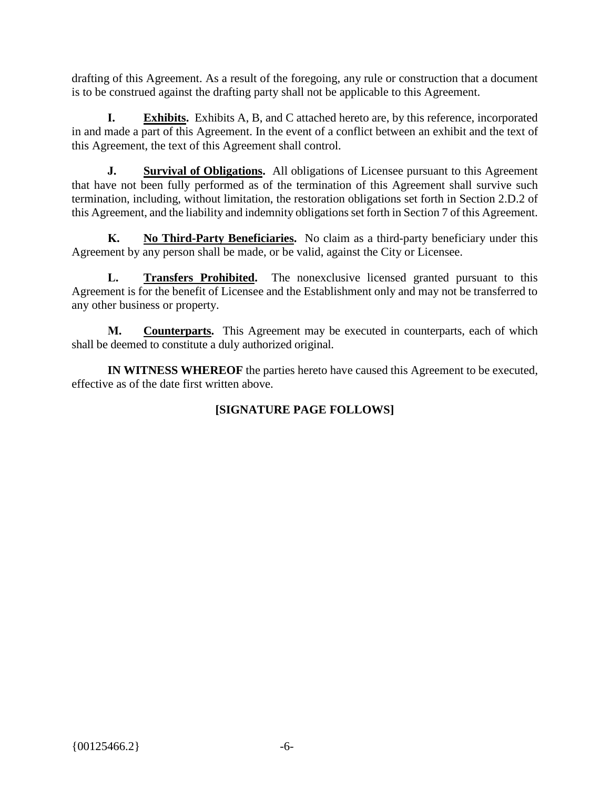drafting of this Agreement. As a result of the foregoing, any rule or construction that a document is to be construed against the drafting party shall not be applicable to this Agreement.

**I. Exhibits.** Exhibits A, B, and C attached hereto are, by this reference, incorporated in and made a part of this Agreement. In the event of a conflict between an exhibit and the text of this Agreement, the text of this Agreement shall control.

**J. Survival of Obligations.** All obligations of Licensee pursuant to this Agreement that have not been fully performed as of the termination of this Agreement shall survive such termination, including, without limitation, the restoration obligations set forth in Section 2.D.2 of this Agreement, and the liability and indemnity obligations set forth in Section 7 of this Agreement.

**K. No Third-Party Beneficiaries.** No claim as a third-party beneficiary under this Agreement by any person shall be made, or be valid, against the City or Licensee.

**L. Transfers Prohibited.** The nonexclusive licensed granted pursuant to this Agreement is for the benefit of Licensee and the Establishment only and may not be transferred to any other business or property.

**M. Counterparts.** This Agreement may be executed in counterparts, each of which shall be deemed to constitute a duly authorized original.

**IN WITNESS WHEREOF** the parties hereto have caused this Agreement to be executed, effective as of the date first written above.

## **[SIGNATURE PAGE FOLLOWS]**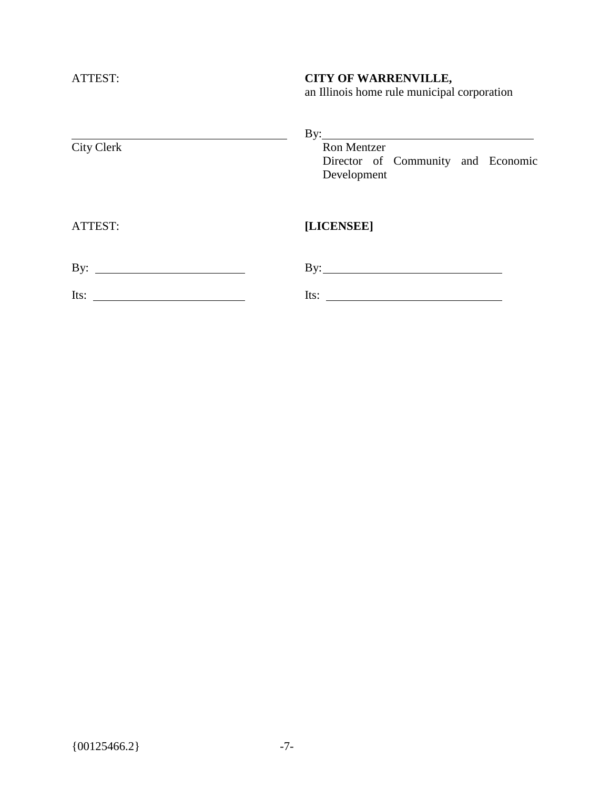| ATTEST:                                         | <b>CITY OF WARRENVILLE,</b><br>an Illinois home rule municipal corporation                                                     |
|-------------------------------------------------|--------------------------------------------------------------------------------------------------------------------------------|
| City Clerk                                      | $\mathbf{By:}\_\_\_\_\$<br><b>Ron Mentzer</b><br>Director of Community and Economic<br>Development                             |
| ATTEST:                                         | [LICENSEE]                                                                                                                     |
|                                                 |                                                                                                                                |
| Its:<br><u> 1989 - Johann Barbara, martin a</u> | Its:<br><u> 1989 - Johann Barbara, martin amerikan basal dan bahasa di kalendar dan basal dan basal dan basal dan basal da</u> |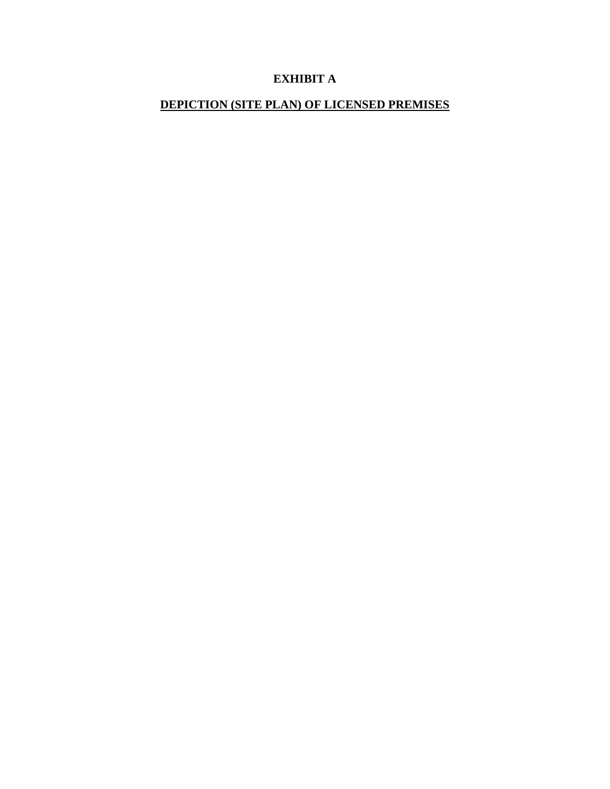## **EXHIBIT A**

## **DEPICTION (SITE PLAN) OF LICENSED PREMISES**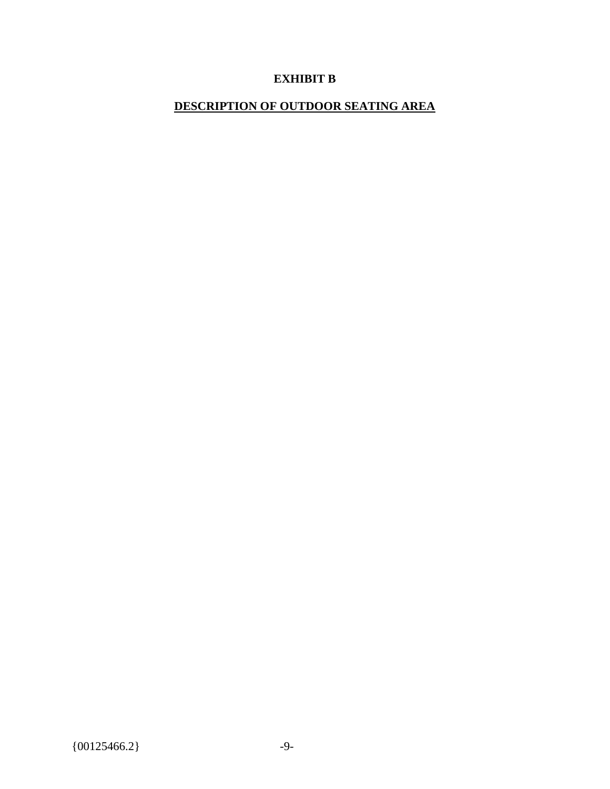## **EXHIBIT B**

## **DESCRIPTION OF OUTDOOR SEATING AREA**